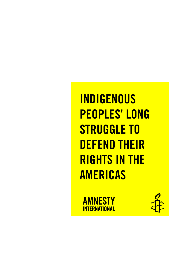# INDIGENOUS PEOPLES' LONG STRUGGLE TO DEFEND THEIR RIGHTS IN THE AMERICAS

**AMNESTY INTERNATIONAL** 

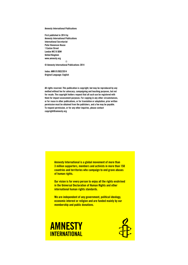Amnesty International Publications

First published in 2014 by Amnesty International Publications International Secretariat Peter Benenson House 1 Easton Street London WC1X 0DW United Kingdom www.amnesty.org  $\Box$ 

© Amnesty International Publications 2014

Index: AMR 01/002/2014 Original Language: English

All rights reserved. This publication is copyright, but may be reproduced by any method without fee for advocacy, campaigning and teaching purposes, but not for resale. The copyright holders request that all such use be registered with them for impact assessment purposes. For copying in any other circumstances, or for reuse in other publications, or for translation or adaptation, prior written permission must be obtained from the publishers, and a fee may be payable. To request permission, or for any other inquiries, please contact copyright@amnesty.org

> Amnesty International is a global movement of more than 3 million supporters, members and activists in more than 150 countries and territories who campaign to end grave abuses of human rights.

> Our vision is for every person to enjoy all the rights enshrined in the Universal Declaration of Human Rights and other international human rights standards.

We are independent of any government, political ideology, economic interest or religion and are funded mainly by our membership and public donations.



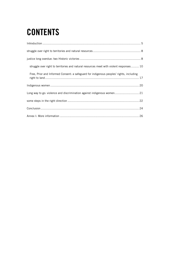## **CONTENTS**

| struggle over right to territories and natural resources meet with violent responses 10 |
|-----------------------------------------------------------------------------------------|
| Free, Prior and Informed Consent: a safeguard for indigenous peoples' rights, including |
|                                                                                         |
| Long way to go: violence and discrimination against indigenous women 21                 |
|                                                                                         |
|                                                                                         |
|                                                                                         |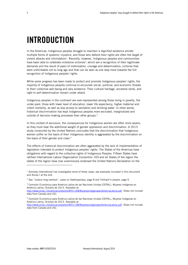## <span id="page-4-0"></span>INTRODUCTION

In the Americas, Indigenous peoples struggle to maintain a dignified existence amidst multiple forms of systemic injustice, and those who defend their rights are often the target of violent attacks and intimidation<sup>1</sup>. Recently, however, Indigenous peoples and communities have been able to celebrate milestone victories<sup>2</sup>, which are a recognition of their legitimate demands and the result of years of mobilization, courage and determination; victories that were unthinkable not so long ago and that can be seen as one step more towards the full recognition of Indigenous peoples' rights.

While some progress has been made to protect and promote Indigenous peoples' rights, the majority of Indigenous peoples continue to encounter social, political, and economic threats to their collective well-being and very existence. Their cultural heritage, ancestral lands, and right to self-determination remain under attack.

Indigenous peoples in the continent are over-represented among those living in poverty, the under-paid, those with lower level of education, lower life expectancy, higher maternal and infant mortality, as well as less access to sanitation and drinking water. In other words, historical discrimination has kept Indigenous peoples more excluded, marginalized and outside of decision-making processes than other groups.<sup>3</sup>

In this context of exclusion, the consequences for Indigenous women are often more severe, as they must bear the additional weight of gender oppression and discrimination. A 2013 study conducted by the United Nations concludes that the discrimination that Indigenous women suffer on the basis of their Indigenous identity is aggravated by the discrimination on the basis of their gender and class.<sup>4</sup>

The effects of historical discrimination are often aggravated by the lack of implementation of legislation intended to protect Indigenous peoples' rights. The States of the Americas have obligations with regard to the collective rights of Indigenous Peoples. Fifteen States have ratified International Labour Organization Convention 169 and all States of the region the states of the region have now unanimously endorsed the United Nations Declaration on the

<sup>3</sup> Comisión Económica para América Latina de las Naciones Unidas (CEPAL), Mujeres Indígenas en América Latina, Octubre de 2013. Available at [http://www.eclac.cl/publicaciones/xml/8/51148/MujeresindigenasenAmericaLatina.pdf.](http://www.eclac.cl/publicaciones/xml/8/51148/MujeresindigenasenAmericaLatina.pdf) (Does not include

data from Canada and US).

<sup>4</sup> Comisión Económica para América Latina de las Naciones Unidas (CEPAL), Mujeres Indígenas en América Latina, Octubre de 2013. Available at

[http://www.eclac.cl/publicaciones/xml/8/51148/MujeresindigenasenAmericaLatina.pdf.](http://www.eclac.cl/publicaciones/xml/8/51148/MujeresindigenasenAmericaLatina.pdf) (Does not include data from Canada and US).

ł

 $1$  Amnesty International has investigated some of these cases, see examples included in this document and Annex I at the end.

<sup>2</sup> See "Justice long overdue", cases on Sawhoyamaxa, page 8 and Tsilhqot'in people, page 9.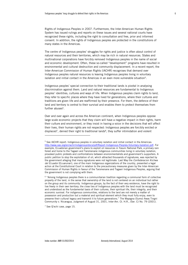Rights of Indigenous Peoples in 2007. Furthermore, the Inter-American Human Rights System has issued rulings and reports on these issues and several national courts have recognized these rights, including the right to consultation and free, prior and informed consent. In addition, the rights of Indigenous peoples are protected in the constitutions of many states in the Americas.

The centre of Indigenous peoples' struggles for rights and justice is often about control of natural resources and their territories, which may be rich in natural resources. States and multinational corporations have forcibly removed Indigenous peoples in the name of social and economic development. Often, these so-called "development" programs have resulted in environmental and cultural destruction and community displacement. In a recent report, the Inter-American Commission of Human Rights (IACHR) recognises that demand over Indigenous peoples natural resources is leaving Indigenous peoples living in voluntary isolation and initial contact in the Americas in an even more vulnerable situation<sup>5</sup>.

Indigenous peoples' special connection to their traditional lands is pivotal in analysing discrimination against them. Land and natural resources are fundamental to Indigenous peoples' identities, cultures and ways of life. When Indigenous peoples claim rights to land, they refer to specific places where they have lived for generations, where their cultures and traditions are given life and are reaffirmed by their presence. For them, the defence of their land and territory is central to their survival and enables them to protect themselves from further abuses<sup>6</sup>.

Over and over again and across the American continent, when Indigenous peoples oppose large scale economic projects that they claim will have a negative impact in their rights, harm their culture and environment, or they insist in having a voice in the decisions that will affect their lives, their human rights are not respected: Indigenous peoples are forcibly evicted or displaced<sup>7</sup>, denied their right to traditional lands<sup>8</sup>, they suffer intimidation and violent

<sup>7</sup> See Q'echi case, page 15.

<sup>5</sup> See IACHR report: Indigenous peoples in voluntary isolation and initial contact in the Americas: [http://www.oas.org/en/iachr/indigenous/docs/pdf/Report-Indigenous-Peoples-Voluntary-Isolation.pdf.](http://www.oas.org/en/iachr/indigenous/docs/pdf/Report-Indigenous-Peoples-Voluntary-Isolation.pdf) For example, Ecuadorian government's plans to exploit oil resources in Yasuni National Park, a primary rain forest and home to the Tagaeri and Taromenane indigenous communities living in voluntary isolation, provoked public protests and confrontations between environmentalists and government's supporters. A public petition to stop the exploitation of oil, which attracted thousands of signatures, was rejected by the government alleging that many signatures were not legitimate. Last May the *Confederacion Kichwa del Ecuador* (Ecuarunari), one of the main Indigenous organizations of the country, presented a legal action at the Constitutional Court in relation to the precautionary measures given by the Inter-American Commission of Human Rights in favour of the Taromenane and Tagaeri Indigenous Peoples, arguing that the government is not complying with them.

<sup>6</sup> "Among Indigenous peoples there is a communitarian tradition regarding a communal form of collective property of the land, in the sense that ownership of the land is not centered on an individual but rather on the group and its community. Indigenous groups, by the fact of their very existence, have the right to live freely in their own territory; the close ties of Indigenous peoples with the land must be recognized and understood as the fundamental basis of their cultures, their spiritual life, their integrity, and their economic survival. For indigenous communities, relations to the land are not merely a matter of possession and production but a material and spiritual element which they must fully enjoy, even to preserve their cultural legacy and transmit it to future generations." The Mayagna (Sumo) Awas Tingni Community v. Nicaragua, Judgment of August 31, 2001, Inter-Am. Ct. H.R., (Ser. C) No. 79 (2001).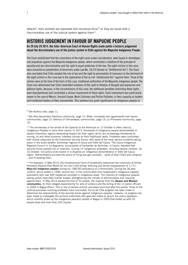attacks<sup>9</sup>, their protests are repressed with excessive force<sup>10</sup> or they are faced with a discriminatory use of the judicial system against them $^{11}$ .

### HISTORIC JUDGEMENT IN FAVOUR OF MAPUCHE PEOPLE

On 29 July 29 2014, the Inter-American Court of Human Rights made public a historic judgement about the discriminatory use of the justice system in Chile against the Mapuche Indigenous People.

The Court established that the convictions of the eight cases under consideration, were based in stereotypes and prejudices against the Mapuche Indigenous people, which constituted a violation of the principle of equality and non-discrimination and the right to equal protection of the law. The eight victims in this case were convicted as perpetrators of terrorisms under Law No. 18,314 (known as "Antiterrorist Act"). The Court also concluded that Chile violated the rule of law and the right to presumption of innocence to the detriment of the eight victims in this case due to the application of the so call "Antiterrorist Act" against them. Three of the victims were at the time of the facts of the case, traditional authorities of the Mapuche indigenous people. The Court also determined that Chile committed violations of the right to freedom of thought and expression and political rights, because, in the circumstances of this case, the additional penalties restricting those rights were disproportional and constituted a serious impairment of those rights. Such involvement was particularly severe in the case of Messrs. Ancalaf Llaupe, Norín Catrimán and Pichún Paillalao, in their capacity as leaders and traditional leaders of their communities. This sentence has great significance for Indigenous peoples in

j

 $9$  See Afro-descendant Garifuna community, page 12; Wiwa, Curvaradó and Jiguamiandó river basins communities, page 13; Isthmus of Tehuantepec communities, page 15; La Primavera community, page 16.

 $10$  The anniversary of the arrival of the Spanish to the Americas on 12 October is often used by Indigenous Peoples to voice their claims. In 2013, thousands of Indigenous people demonstrated in several Colombian regions demanding respect for their rights, which are increasingly threatened as mining, oil and other economic interests intrude on their traditional lands. Protesters were confronted with violent responses by the Colombian security forces, with some of the most serious incidents taking place in the south-western Colombian regions of Cauca and Valle del Cauca. The Cauca Indigenous Regional Council in La Augustina, municipality of Santander de Quilichao, in Cauca, reported that security forces opened fire on marches, injuring 15 indigenous protesters, including several children. On 16 October, riot police units moved in to disperse an indigenous demonstration in Valle del Cauca region. Demonstrators accused the police of firing tear gas canisters – some of them filled with shrapnel – and of beating them.

 $11$  For example, in May 2013, the Constitutional Court of Guatemala overturned the conviction of former President General Ríos Montt for his role in the killing, torturing and forced displacement of 1,771 Maya-Ixil Indigenous peoples during his 1982-83 presidency on a technicality. During the 36-year conflict, which ended in 1996, around four in five victims were from Guatemala's Indigenous peoples population with over 600 massacres recorded in Indigenous areas. The chances of Indigenous peoples seeing justice have been further eroded, strengthening the climate of discrimination and impunity against them. In May 2014 started the trial of 53 people, the majority from the Awajun and Wampís communities, for their alleged responsibility for acts of violence and the killing of the 12 police officers in 2009 in Bagua (Peru). This is one of several judicial processes launched after the events. Three of the judicial processes involving protesters have concluded, but so far little progress has been made to determine the responsibility of the security forces against Indigenous peoples. Likewise, no progress has been made to investigate the political authorities who gave the orders to launch the police operation, which violently broke up the Indigenous peaceful protest in Bagua in 2009 that ended up with 33 people dead and more than 200 injured.

<sup>8</sup> See Apika'y case, page 11.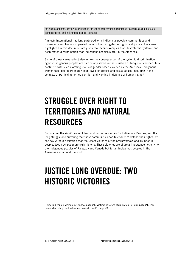the whole continent, setting clear limits in the use of anti-terrorism legislation to address social protests, demonstrations and Indigenous peoples' demands.

Amnesty International has long partnered with Indigenous people's communities and movements and has accompanied them in their struggles for rights and justice. The cases highlighted in this document are just a few recent examples that illustrate the systemic and deep-rooted discrimination that Indigenous peoples suffer in the Americas.

Some of these cases reflect also in how the consequences of the systemic discrimination against Indigenous peoples are particularly severe in the situation of Indigenous women. In a continent with such alarming levels of gender based violence as the Americas, Indigenous women face disproportionately high levels of attacks and sexual abuse, including in the contexts of trafficking, armed conflict, and working in defence of human rights $^{12}$ .

## <span id="page-7-0"></span>STRUGGLE OVER RIGHT TO TERRITORIES AND NATURAL RESOURCES

Considering the significance of land and natural resources for Indigenous Peoples, and the long struggle and suffering that these communities had to endure to defend their rights, we can say without hesitation that the recent victories of the Sawhoyamaxa and Tsilhqot'in peoples (see next page) are truly historic. These victories are of great importance not only for the Indigenous peoples of Paraguay and Canada but for all Indigenous peoples in the Americas and around the world.

## <span id="page-7-1"></span>JUSTICE LONG OVERDUE: TWO HISTORIC VICTORIES

<sup>&</sup>lt;sup>12</sup> See Indigenous women in Canada, page 21; Victims of forced sterilization in Peru, page 21; Inés Fernández Ortega and Valentina Rosendo Cantù, page 23.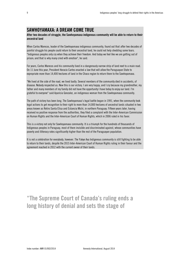## SAWHOYAMAXA: A DREAM COME TRUE

#### After two decades of struggle, the Sawhoyamaxa indigenous community will be able to return to their ancestral land

When Carlos Marecos, leader of the Sawhoyamaxa indigenous community, found out that after two decades of painful struggle his people could return to their ancestral land, he could not help shedding some tears. "Indigenous peoples only cry when they achieve their freedom. And today we feel like we are getting out of prison; and that is why many cried with emotion", he said.

For years, Carlos Marecos and his community lived in a dangerously narrow strip of land next to a main road. On 11 June this year, President Horacio Cartes enacted a law that will allow the Paraguayan State to expropriate more than 14,400 hectares of land in the Chaco region to return them to the Sawhoyamaxa.

"We lived at the side of the road, we lived badly. Several members of the community died in accidents, of disease. Nobody respected us. Now this is our victory. I am very happy, and I cry because my grandmother, my father and many members of my family did not have the opportunity I have today to enjoy our land. I'm grateful to everyone" said Aparicia Gonzalez, an indigenous woman from the Sawhoyamaxa community.

The path of victory has been long. The Sawhoyamaxa's legal battle began in 1991, when the community took legal actions to get recognition to their right to more than 14,000 hectares of ancestral lands situated in two areas known as Retiro Santa Elisa and Estancia Michi, in northern Paraguay. Fifteen years later, having received no positive response from the authorities, they filed a complaint with the Inter-American Commission on Human Rights and the Inter-American Court of Human Rights, which in 2006 ruled in his favor.

This is a victory not only for Sawhoyamaxa community. It is a triumph for the hundreds of thousands of Indigenous peoples in Paraguay, most of them invisible and discriminated against, whose communities have poverty and illiteracy rates significantly higher than the rest of the Paraguayan population.

It is not a celebration for everybody, however. The Yakye Axa Indigenous community is still fighting to be able to return to their lands, despite the 2015 Inter-American Court of Human Rights ruling in their favour and the agreement reached in 2012 with the current owner of their lands.

"The Supreme Court of Canada's ruling ends a long history of denial and sets the stage of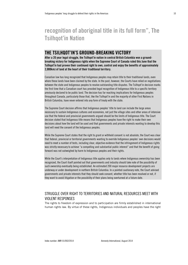## recognition of aboriginal title in its full form" , The Tsilhqot'in Nation

## THE TSILHQOT'IN'S GROUND-BREAKING VICTORY

After a 20 year legal struggle, the Tsilhqot'in nation in central British Columbia won a groundbreaking victory for Indigenous rights when the Supreme Court of Canada ruled this June that the Tsilhqot'in had proven their continued right to own, control and enjoy the benefits of approximately 2,000km2 of land at the heart of their traditional territory.

Canadian law has long recognized that Indigenous peoples may retain title to their traditional lands, even where these lands have been claimed by the state. In the past, however, the Courts have relied on negotiations between the state and Indigenous peoples to resolve outstanding title disputes. The Tsilhqot'in decision marks the first time that a Canadian court has provided legal recognition of Indigenous title to a specific territory previously declared to be public land. The decision has far reaching implications for Indigenous peoples throughout Canada, particularly those that, like the Tsilhqot'in and the majority of other First Nations in British Columbia, have never entered into any form of treaty with the state.

The Supreme Court decision affirms that Indigenous peoples' title to land can include the large areas necessary to sustain Indigenous cultures and economies, not just the village sites and other areas of intensive use that the federal and provincial governments argued should be the limits of Indigenous title. The Court decision stated that Indigenous title means that Indigenous peoples have the right to make their own decisions about how the land will be used and that governments and private interests wanting to develop this land will need the consent of the Indigenous peoples.

While the Supreme Court states that the right to grant or withhold consent is not absolute, the Court was clear that federal, provincial or territorial governments wanting to override Indigenous peoples' own decisions would need to meet a number of tests, including clear, objective evidence that the infringement of Indigenous rights was strictly necessary to achieve "a compelling and substantial public interest" and that the benefit of going forward was not outweighed by harm to Indigenous peoples and their rights.

While the Court's interpretation of Indigenous title applies only to lands where Indigenous ownership has been recognized, the Court itself pointed out that governments and industry should take note of the possibility of such ownership eventually being established. An estimated 200 major resource development projects are underway or under development in northern British Columbia. In a pointed cautionary note, the Court advised governments and private interests that they should seek consent, whether title has been resolved or not, if they want to avoid litigation or the possibility of their plans being overturned at a future date.

### <span id="page-9-0"></span>STRUGGLE OVER RIGHT TO TERRITORIES AND NATURAL RESOURCES MEET WITH VIOLENT RESPONSES

The rights to freedom of expression and to participation are firmly established in international human rights law. By virtue of these rights, Indigenous individuals and peoples have the right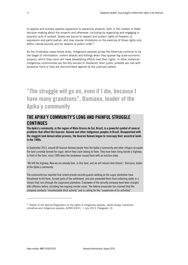to oppose and actively express opposition to extractive projects, both in the context of State decision-making about the projects and otherwise, including by organizing and engaging in peaceful acts of protest. States are bound to respect and protect rights of freedom of expression and participation, and may impose limitations on the exercise of those rights only within narrow bounds and for reasons of public order<sup>13</sup>.

As the illustrative cases below show, Indigenous peoples across the Americas continue to be the target of intimidation, violent attacks and killings when they oppose big scale economic projects, which they claim will have devastating effects over their rights. In other instances Indigenous communities are forcibly evicted or displaced, their public protests are met with excessive force or they are discriminated against by the judiciary system.

"The struggle will go on, even if I die, because I have many grandsons", Damiana, leader of the Apika´y community

## THE APIKA'Y COMMUNITY'S LONG AND PAINFUL STRUGGLE **CONTINUES**

The Apika'y community, in the region of Mato Grosso do Sul, Brazil, is a powerful symbol of several problems that affect the Guarani- Kaiowá and other Indigenous peoples in Brazil. Disappointed with the sluggish land demarcation process, the Guarani Kaiowá began to reoccupy their ancestral lands in the 1990s.

In September 2013, around 60 Guarani Kaiowá people from the Apika´y community and other villages occupied the land currently farmed for sugar, which they claim belong to them. They have been living beside a highway, in front of the farm, since 1999 when the landowner issued them with an eviction order.

"We left the highway. Now we are already here, in this land, and we will remain here forever", Damiana, leader of the Apika´y community

The community has reported that armed private security guards working on the sugar plantation have threatened to kill them, burned parts of the settlement, and also prevented them from collecting water in a stream that runs through the sugarcane plantation. Employees of the security company have been charged with offences before, including two ongoing murder cases. The federal prosecutor has claimed that the company conducts "incontestable illicit activity" and is calling for the "suspension of its activities".

ł

<sup>&</sup>lt;sup>13</sup> Report of the Special Rapporteur on the rights of indigenous peoples, James Anaya. Extractive industries and indigenous peoples, A/HRC/24/41, 1 July 2013. Paragraph 19.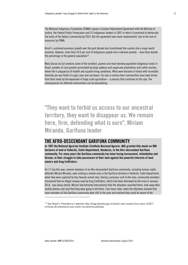The National Indigenous Foundation (FUNAI) signed a Conduct Adjustment Agreement with the Ministry of Justice, the Federal Public Prosecutors and 23 indigenous leaders in 2007 in which it promised to demarcate the lands of the Apika´y community by 2010. But the agreement was never implemented, due to the lack of resources by FUNAI.

Brazil's sustained economic growth over the past decade has transformed the country into a major world economy. However, more than 39.9 per cent of Indigenous people live in extreme poverty – more than double the percentage in the general population $^{\rm 14}.$ 

Mato Grosso do Sul contains some of the smallest, poorest and most densely populated Indigenous lands in Brazil: pockets of rural poverty surrounded by large soybean and sugarcane plantations and cattle ranches, where life is plagued by ill-health and squalid living conditions. What were hectares of forest with incredible diversity are now fields of sugar cane and soy beans. For over a century their communities have been driven from their lands by the expansion of large scale agriculture – a process that continues to this day. The consequences for affected communities can be devastating.

"They want to forbid us access to our ancestral territory, they want to disappear us. We remain here, firm, defending what is ours", Miriam Miranda, Garífuna leader

### THE AFRO-DESCENDANT GARIFUNA COMMUNITY

In 1997 the National Agrarian Institute (Instituto Nacional Agrario, INA) granted title deeds on 980 hectares of land in Vallecito, Colón Department, Honduras, to the Afro-descendant Garífuna community. For many years the Garífuna community has been facing harassment, intimidation and threats, in their struggle to take possession of their land against the powerful interests of land owners and drug traffickers.

On 17 July this year, several members of an Afro-descendant Garífuna community, including human rights defender Miriam Miranda, were visiting a remote area in the Garífuna territory in Vallecito, Colón Department, when they were captured by four heavily-armed men. During a previous visit to the area, community members discovered that an illegal runway used by drug traffickers, which had been destroyed by the army in January 2014, was being rebuilt. Miriam told Amnesty International that the attackers searched them, took away their mobile phones and said that they were going to kill them. Four hours later, when the attackers learned that more members of the Garífuna community were still in the area and realised they could be aware of the

l

<sup>&</sup>lt;sup>14</sup> See Brazil's Presidency's website http://blog.planalto.gov.br/brasil-sem-miseria-foco-sera-16267milhoes-de-brasileiros-que-vivem-na-extrema-pobreza/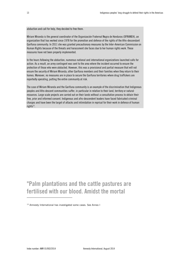abduction and call for help, they decided to free them.

Miriam Miranda is the general coordinator of the Organización Fraternal Negra de Honduras (OFRANEH), an organization that has worked since 1978 for the promotion and defence of the rights of the Afro-descendant Garífuna community. In 2011 she was granted precautionary measures by the Inter-American Commission on Human Rights because of the threats and harassment she faces due to her human rights work. These measures have not been properly implemented.

In the hours following the abduction, numerous national and international organizations launched calls for action. As a result, an army contingent was sent to the area where the incident occurred to ensure the protection of those who were abducted. However, this was a provisional and partial measure that will not ensure the security of Miriam Miranda, other Garífuna members and their families when they return to their homes. Moreover, no measures are in place to secure the Garífuna territories where drug traffickers are reportedly operating, putting the entire community at risk.

The case of Miriam Miranda and the Garífuna community is an example of the discrimination that Indigenous peoples and Afro-descent communities suffer, in particular in relation to their land, territory or natural resources. Large scale projects are carried out on their lands without a consultation process to obtain their free, prior and informed consent. Indigenous and afro-descendent leaders have faced fabricated criminal charges and have been the target of attacks and intimidation in reprisal for their work in defence of human rights<sup>15</sup>.

## "Palm plantations and the cattle pastures are fertilised with our blood. Amidst the mortal

ł

<sup>&</sup>lt;sup>15</sup> Amnesty International has investigated some cases. See Annex I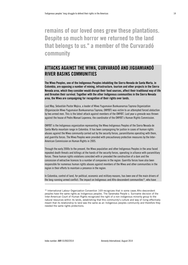remains of our loved ones grew these plantations. Despite so much horror we returned to the land that belongs to us." a member of the Curvaradó community

## ATTACKS AGAINST THE WIWA, CURVARADÓ AND JIGUAMIANDÓ RIVER BASINS COMMUNITIES

The Wiwa Peoples, one of the Indigenous Peoples inhabiting the Sierra Nevada de Santa Marta, in Colombia, are opposing a number of mining, infrastructure, tourism and other projects in the Sierra Nevada area, which they consider would disrupt their food sources, affect their traditional way of life and threaten their survival. Together with the other Indigenous communities in the Sierra Nevada area, the Wiwa are campaigning for recognition of their rights over lands.

Last May, Sebastián Pastor Mojica, a leader of Wiwa Yugumaiun Bunkuanarrua Tayrona Organization (Organización Wiwa Yugumaiun Bunkuanarrua Tayrona, OWYBT) was victim to an attempted forced abduction by two armed men. This is the latest attack against members of the OWYBT. Last year a grenade was thrown against the house of Pedro Manuel Loperena, the coordinator of the OWYBT´s Human Rights Commission.

OWYBT is the Indigenous organization representing the Wiwa Indigenous Peoples of the Sierra Nevada de Santa Marta mountain range in Colombia. It has been campaigning for justice in cases of human rights abuses against the Wiwa community carried out by the security forces, paramilitaries operating with them, and guerrilla forces. The Wiwa Peoples were provided with precautionary protection measures by the Inter-American Commission on Human Rights in 2005.

Through the early 2000s to the present, the Wiwa population and other Indigenous Peoples in the area faced repeated death threats and killings at the hands of the security forces, operating in alliance with paramilitary forces. These human rights violations coincided with or preceded the construction of a dam and the concession of extractive licences to a number of companies in the region. Guerrilla forces have also been responsible for numerous human rights abuses against members of the Wiwa and other communities in the region in their efforts to maintain a presence in the region.

In Colombia, control of land, for political, economic and military reasons, has been one of the main drivers of the long-running armed conflict. The impact on Indigenous and Afro-descendent communities<sup>16</sup>, who have

<sup>&</sup>lt;sup>16</sup> International Labour Organization Convention 169 recognizes that in some cases Afro-descendent peoples have the same rights as Indigenous peoples. The Saramaka People v. Suriname decision of the Inter-American Court of Human Rights recognized the right of a non-indigenous minority group to the natural resources within its lands, establishing that this community's culture and way of living effectively meant that its relationship to land was the same as an Indigenous peoples community and therefore they needed the same rights protections.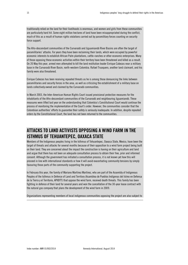traditionally relied on the land for their livelihoods is enormous, and women and girls from these communities are particularly hard hit. Some eight million hectares of land have been misappropriated during the conflict, much of this as a result of human rights violations carried out by paramilitary forces counting on security force support.

The Afro-descendant communities of the Curvaradó and Jiguamiandó River Basins are often the target of paramilitaries' attacks. For years they have been reclaiming their lands, which were occupied by powerful economic interests to establish African Palm plantations, cattle-ranches or other economic enterprises. Many of those opposing these economic activities within their territory have been threatened and killed as a result. On 20 May this year, armed men attempted to kill the land restitution leader Enrique Cabezas near a military base in the Curvaradó River Basin, north-western Colombia. Rafael Truaquero, another land claimant, and his family were also threatened.

Enrique Cabezas has been receiving repeated threats as he is among those denouncing the links between paramilitaries and security forces in the area, as well as criticizing the establishment of a military base on lands collectively owned and claimed by the Curvaradó communities.

In March 2003, the Inter-American Human Rights Court issued provisional protection measures for the inhabitants of the Afro-descendant communities of the Curvaradó and neighbouring Jiguamiandó. These measures were lifted last year on the understanding that Colombia´s Constitutional Court would continue the process of monitoring the implementation of the Court's order. However, the communities consider that the Colombian authorities' efforts to guarantee their safety is seriously inadequate. In addition, despite repeated orders by the Constitutional Court, the land has not been returned to the communities.

## ATTACKS TO LAND ACTIVISTS OPPOSING A WIND FARM IN THE ISTHMUS OF TEHUANTEPEC, OAXACA STATE

Members of the Indigenous peoples living in the Isthmus of Tehuantepec, Oaxaca State, Mexico, have been the target of threats and attacks for several months because of their opposition to a wind farm project being built on their land. They are concerned about the impact the construction is having on their agriculture and land and argue that there has not been an adequate consultation process to obtain their free, prior and informed consent. Although the government has initiated a consultation process, it is not known yet how this will proceed in line with international standards or how it will avoid exacerbating community tensions by simply favouring those parts of the community supporting the project.

In February this year, the family of Mariano Martínez Martínez, who are part of the Assembly of Indigenous Peoples of the Isthmus in Defence of Land and Territory (Asamblea de Pueblos Indígenas del Istmo en Defensa de la Tierra y el Territorio, APIIDTT) that oppose the wind farm, received death threats. This family has been fighting in defence of their land for several years and won the cancellation of the 30-year lease contract with the natural gas company that plans the development of the wind farm in 2009.

Organizations representing members of local indigenous communities opposing the project are also subject to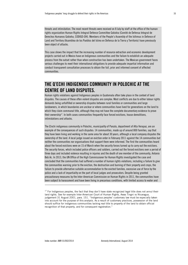threats and intimidation. The most recent threats were received on 8 July by staff at the office of the human rights organization Human Rights Integral Defence Committee Gobixha (Comité de Defensa Integral de Derechos Humanos Gobixha, CODIGO-DH). Members of the People's Assembly of the Isthmus in Defence of Land and Territory (Asamblea de los Pueblos del Istmo en Defensa de la Tierra y Territorio) have previously been object of attacks.

This case shows the impact that the increasing number of resource extraction and economic development projects carried out in Mexico have on Indigenous communities and the failure to establish an adequate process from the outset rather than when construction has been undertaken. The Mexican government faces serious challenges to meet their international obligations to provide adequate impartial information and conduct transparent consultation processes to obtain the full, prior and informed consent of affected communities.

## THE Q'ECHI INDIGENOUS COMMUNITY IN POLOCHIC AT THE CENTRE OF LAND DISPUTES.

Human rights violations against Indigenous peoples in Guatemala often take place in the context of land disputes. The causes of these often violent disputes are complex. Most conflicts are due to either labour rights demands being unfulfilled or ownership disputes between rural families or communities and large landowners, in which boundaries are unclear or where communities have lived for generations on the land to which they claim communal title, although they may not have the complete documentary evidence to prove their ownership<sup>17</sup>. In both cases communities frequently face forced evictions, house demolitions, intimidations and attacks.

The Q'echi indigenous community in Polochic, municipality of Panzós, department of Alta Verapaz, are an example of the consequences of such disputes: 14 communities, made up of around 800 families, say that they have been living and working in the same area for about 30 years, although a local company disputes the ownership of the land. A local judge issued an eviction order in February 2011 against the 14 communities but neither the communities nor organisations that support them were informed. The first the communities heard about the forced evictions were on 15 of March when the security forces turned up to carry out the evictions. The security forces, which included police officers and soldiers, carried out the forced evictions over a period of three days and included violence resulting in injuries and the death of one member of the community, Antonio Beb Ac. In 2013, the UN Office of the High Commissioner for Human Rights investigated the case and concluded that the communities had suffered a number of human rights violations, including a failure to give the communities warning prior to the eviction, the destruction and burning of their property and crops, the failure to provide alternative suitable accommodation to the evicted families, excessive use of force by the police and a lack of impartiality on the part of local judges and prosecutors. Despite being granted precautionary measures by the Inter-American Commission on Human Rights in 2011, the communities have been subject to harassment and have been living in precarious conditions, with limited access to water and

 $17$  For Indigenous peoples, the fact that they don't have state recognized legal title does not annul their land rights. See for example Inter-American Court of Human Rights, Awas Tingni vs Nicaragua, judgement 31 August 2001, para. 151. "Indigenous peoples' customary law must be especially taken into account for the purpose of this analysis. As a result of customary practices, possession of the land should suffice for indigenous communities lacking real title to property of the land to obtain official recognition of that property, and for consequent registration."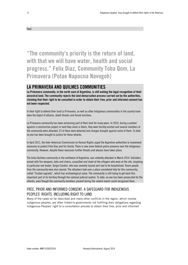food.

"The community's priority is the return of land, with that we will have water, health and social progress." Felix Diaz, Community Toba Qom, La Primavera (Potae Napocna Navogoh)

## LA PRIMAVERA AND QUILMES COMMUNITIES

La Primavera community, in the north-east of Argentina, is still waiting the legal recognition of their ancestral land. The community rejects the land demarcation process carried out by the authorities, claiming that their right to be consulted in order to obtain their free, prior and informed consent has not been respected.

In their fight to defend their land La Primavera, as well as other Indigenous communities in the country have been the object of attacks, death threats and forced evictions.

La Primavera community has been reclaiming part of their land for many years. In 2010, during a protest against a construction project in land they claim is theirs, they were forcibly evicted and several members of the community were attacked; 23 of them were detained and charges brought against some of them. To date no one has been brought to justice for these attacks.

In April 2011, the Inter-American Commission on Human Rights urged the Argentine authorities to implement measures to protect Felix Diaz and his family. There is now some federal police presence near the Indigenous community. However, despite these measures further threats and abuses have taken place.

The India Quilmes community in the northwest of Argentina, was violently attacked in March 2014. Outsiders armed with fire weapons, bats and chains, assaulted and shoot at the villagers who were at the site, targeting in particular one leader, Sergio Condorí, who was severely injured and had to be hospitalized. Seven people from the community were also injured. The attackers took over a place considered holy for this community, called "Ciudad sagrada", which has archaeological value. The community is still trying to get back this important part of its territory through the national judicial system. To date, no one has been prosecuted for the attacks, even though the community members present during the violent events could recognized them.

### <span id="page-16-0"></span>FREE, PRIOR AND INFORMED CONSENT: A SAFEGUARD FOR INDIGENOUS PEOPLES' RIGHTS, INCLUDING RIGHT TO LAND

Many of the cases so far described and many other conflicts in the region, which involve indigenous peoples, are often linked to governments not fulfilling their obligations regarding Indigenous Peoples' right to a consultation process to obtain their free, prior and informed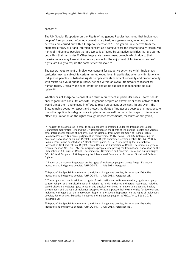#### $\epsilon$ onsent $^{18}$ .

j

The UN Special Rapporteur on the Rights of Indigenous Peoples has noted that Indigenous peoples' free, prior and informed consent is required, as a general rule, when extractive activities are carried out within Indigenous territories<sup>19</sup>. This general rule derives from the character of free, prior and informed consent as a safeguard for the internationally recognized rights of Indigenous peoples that are typically affected by extractive activities that are carried out within their territories. <sup>20</sup> Other large scale development projects which, due to their invasive nature may have similar consequences for the enjoyment of Indigenous peoples' rights, are likely to require the same strict threshold. 21

The general requirement of indigenous consent for extractive activities within Indigenous territories may be subject to certain limited exceptions, in particular, when any limitations on Indigenous peoples' substantive rights comply with standards of necessity and proportionality with regard to a valid public purpose, defined within an overall framework of respect for human rights. Critically any such limitation should be subject to independent judicial review.<sup>22</sup>

Whether or not Indigenous consent is a strict requirement in particular cases, States should ensure good faith consultations with Indigenous peoples on extractive or other activities that would affect them and engage in efforts to reach agreement or consent. In any event, the State remains bound to respect and protect the rights of Indigenous peoples and must ensure that other applicable safeguards are implemented as well, in particular steps to minimize or offset any limitation on the rights through impact assessments, measures of mitigation,

<sup>19</sup> Report of the Special Rapporteur on the rights of indigenous peoples, James Anaya. Extractive industries and indigenous peoples, A/HRC/24/41, 1 July 2013. Paragraph 1.

<sup>20</sup> Report of the Special Rapporteur on the rights of indigenous peoples, James Anaya. Extractive industries and indigenous peoples, A/HRC/24/41, 1 July 2013. Paragraph 28.

<sup>&</sup>lt;sup>18</sup> The right to be consulted in order to obtain consent is protected under the International Labour Organization Convention 169 and the UN Declaration on the Rights of Indigenous Peoples and various other international sources of authority. See for example: Inter-American Court of Human Rights, Saramaka People v. Suriname, judgement of 28 November 2007, paras. 129-137 (interpreting the American Convention on Human Rights); Human Rights Committee, communication No. 1457/2006, Poma v. Peru, Views adopted on 27 March 2009, paras. 7.5, 7.7 (interpreting the International Covenant on Civil and Political Rights); Committee on the Elimination of Racial Discrimination, general recommendation No. 23 (1997) on Indigenous peoples (interpreting the International Convention on the Elimination of All Forms of Racial Discrimination); Committee on Economic, Social and Cultural Rights, E/C.12/1/Add.74, para. 12 (interpreting the International Covenant on Economic, Social and Cultural Rights).

<sup>&</sup>lt;sup>21</sup> These rights include, in addition to rights of participation and self-determination, rights to property, culture, religion and non-discrimination in relation to lands, territories and natural resources, including sacred places and objects; rights to health and physical well-being in relation to a clean and healthy environment; and the right of indigenous peoples to set and pursue their own priorities for development, including with regard to natural resources. Report of the Special Rapporteur on the rights of indigenous peoples, James Anaya. Extractive industries and indigenous peoples, A/HRC/24/41, 1 July 2013. Paragraph 28.

<sup>&</sup>lt;sup>22</sup> Report of the Special Rapporteur on the rights of indigenous peoples, James Anaya. Extractive industries and indigenous peoples, A/HRC/24/41, 1 July 2013. Paragraph 86-7.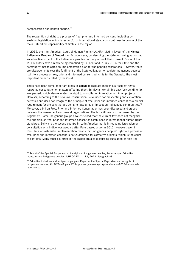compensation and benefit sharing.<sup>23</sup>

The recognition of right to a process of free, prior and informed consent, including by enabling legislation which is respectful of international standards, continues to be one of the main unfulfilled responsibility of States in the region.

In 2012, the Inter-American Court of Human Rights (IACHR) ruled in favour of the Kichwa Indigenous Peoples of Sarayaku vs Ecuador case, condemning the state for having authorized an extractive project in the Indigenous peoples' territory without their consent. Some of the IACHR orders have already being complied by Ecuador and in July 2014 the State and the community met to agree an implementation plan for the pending reparations. However, there are disagreements over the fulfilment of the State obligation to regulate Indigenous peoples' right to a process of free, prior and informed consent, which is for the Sarayaku the most important order dictated by the Court.

There have been some important steps in **Bolivia** to regulate Indigenous Peoples' rights regarding consultation on matters affecting them. In May a new Mining Law (Ley de Minería) was passed, which also regulates the right to consultation in relation to mining projects. However, according to the new law, consultation is excluded for prospecting and exploration activities and does not recognize the principle of free, prior and informed consent as a crucial requirement for projects that are going to have a major impact on Indigenous communities.<sup>24</sup> Moreover, a bill on Free, Prior and Informed Consultation has been discussed and agreed between the government and several organisations. The bill still needs to be passed by the Legislative. Some Indigenous groups have criticised that the current text does not recognize the principle of free, prior and informed consent as established in international human rights standards. Bolivia is the second country in Latin America that is introducing legislation on consultation with Indigenous peoples after Peru passed a law in 2011. However, even in Peru, lack of systematic implementation means that Indigenous peoples' right to a process of free, prior and informed consent is not guaranteed for extractive projects, which is the cause of conflicts. Many other countries in the region are also discussing legislation on this line.

<sup>&</sup>lt;sup>23</sup> Report of the Special Rapporteur on the rights of indigenous peoples, James Anaya. Extractive industries and indigenous peoples, A/HRC/24/41, 1 July 2013. Paragraph 88.

<sup>&</sup>lt;sup>24</sup> Extractive industries and indigenous peoples, Report of the Special Rapporteur on the rights of indigenous peoples, A/HRC/24/41 para 27. http://unsr.jamesanaya.org/docs/annual/2013-hrc-annualreport-en.pdf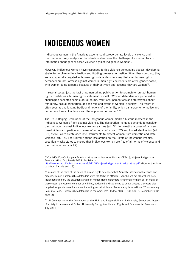## <span id="page-19-0"></span>INDIGENOUS WOMEN

Indigenous women in the Americas experience disproportionate levels of violence and discrimination. Any analysis of the situation also faces the challenge of a chronic lack of information about gender-based violence against Indigenous women<sup>25</sup>.

However, Indigenous women have responded to this violence denouncing abuses, developing strategies to change the situation and fighting tirelessly for justice. When they stand up, they are also specially targeted as human rights defenders, in a way that men human rights defenders are not. Attacks against women human rights defenders are often gender-based, with women being targeted because of their activism and because they are women $^{26}.$ 

In several cases, just the fact of women taking public action to promote or protect human rights constitutes a human rights statement in itself. "Women defenders are perceived as challenging accepted socio-cultural norms, traditions, perceptions and stereotypes about femininity, sexual orientation, and the role and status of women in society. Their work is often seen as challenging traditional notions of the family, which can serve to normalize and perpetuate forms of violence and the oppression of women"<sup>27</sup>.

The 1995 Beijing Declaration of the Indigenous women marks a historic moment in the Indigenous women's flight against violence. The declaration includes demands to consider discrimination against Indigenous women a crime (art. 34) to investigate cases of genderbased violence in particular in areas of armed conflict (art. 32) and forced sterilization (art. 33), as well as to create adequate instruments to protect women from domestic and state violence (art. 35). The United Nations Declaration on the Rights of Indigenous Peoples specifically asks states to ensure that Indigenous women are free of all forms of violence and discrimination (article 22).

<sup>&</sup>lt;sup>25</sup> Comisión Económica para América Latina de las Naciones Unidas (CEPAL), Mujeres Indígenas en América Latina, Octubre de 2013. Available at

[http://www.eclac.cl/publicaciones/xml/8/51148/MujeresindigenasenAmericaLatina.pdf.](http://www.eclac.cl/publicaciones/xml/8/51148/MujeresindigenasenAmericaLatina.pdf) (Does not include data from Canada and US).

<sup>&</sup>lt;sup>26</sup> In more of the third of the cases of human rights defenders that Amnesty International receives and process, women human rights defenders were the target of attacks. Even though not all of them were indigenous women, the situation as women human rights defenders is common to them all. In many of these cases, the women were not only killed, abducted and subjected to death threats, they were also targeted for gender-based violence, including sexual violence. See Amnesty International "Transforming Pain into Hope, Human rights defenders in the Americas", Index: AMR 01/006/2012, December 2012, page 20.

<sup>&</sup>lt;sup>27</sup> UN Commentary to the Declaration on the Right and Responsibility of Individuals, Groups and Organs of society to promote and Protect Universally Recognized Human Rights and Fundamental Freedoms, July 2011, p 6.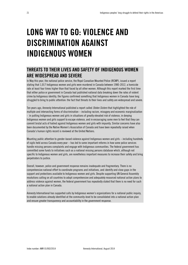## <span id="page-20-0"></span>LONG WAY TO GO: VIOLENCE AND DISCRIMINATION AGAINST INDIGENOUS WOMEN

## THREATS TO THEIR LIVES AND SAFETY OF INDIGENOUS WOMEN ARE WIDESPREAD AND SEVERE

In May this year, the national police service, the Royal Canadian Mounted Police (RCMP), issued a report stating that 1,017 Indigenous women and girls were murdered in Canada between 1980-2012, a homicide rate at least four times higher than that faced by all other women. Although this report marked the first time that either police or government in Canada had published national data breaking down the rates of violent crime by Indigenous identity, the figures confirmed something that Indigenous women in Canada have long struggled to bring to public attention: the fact that threats to their lives and safety are widespread and severe.

Ten years ago, Amnesty International published a report called *Stolen Sisters* that highlighted the role of multiple and intersecting forms of discrimination – including racism, misogyny and economic marginalization - in putting Indigenous women and girls in situations of greatly elevated risk of violence, in denying Indigenous women and girls support to escape violence, and in encouraging some men to feel that they can commit brutal acts of hatred against Indigenous women and girls with impunity. Similar concerns have also been documented by the Native Women's Association of Canada and have been repeatedly raised when Canada's human rights record is reviewed at the United Nations.

Mounting public attention to gender-based violence against Indigenous women and girls – including hundreds of vigils held across Canada every year – has led to some important reforms in how some police services handle missing persons complaints and engage with Indigenous communities. The federal government has committed some funds to initiatives such as a national missing persons database which, although not specific to Indigenous women and girls, are nonetheless important measures to increase their safety and bring perpetrators to justice.

Overall, however, police and government response remains inadequate and fragmentary. There is no comprehensive national effort to coordinate programs and initiatives, and identify and close gaps in the support and protections available to Indigenous women and girls. Despite supporting UN General Assembly resolutions calling on all countries to adopt comprehensive and adequately resourced national action plans to address violence against women, the federal government has repeatedly stated that there is no need for such a national action plan in Canada.

Amnesty International has supported calls by Indigenous women's organizations for a national public inquiry, to enable solutions already identified at the community-level to be consolidated into a national action plan and ensure greater transparency and accountability in the government response.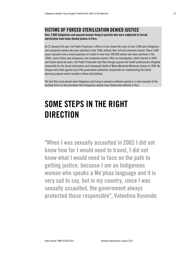## VICTIMS OF FORCED STERILIZATION DENIED JUSTICE

Over 2,000 Indigenous and peasant women living in poverty who were subjected to forced sterilization have been denied justice in Peru.

On 22 January this year, the Public Prosecutor's office in Lima closed the cases of over 2,000 poor Indigenous and campesino women who were sterilized in the 1990s without their full and informed consent. These 2,000 cases represent only a small proportion of a total of more than 200,000 women who were sterilized in the 1990s, most of them poor Indigenous and campesino women. After an investigation, which started in 2004 and lasted nearly ten years, the Public Prosecutor only filed charges against the health professionals allegedly responsible for the forced sterilization and subsequent death of María Mamérita Mestanza Chávez in 1998. No charges were filed against any of the government authorities responsible for implementing the family planning program which resulted in these sterilizations.

The fact that most women were Indigenous and living in poverty or extreme poverty is a clear example of the multiple forms of discrimination that Indigenous women have historically suffered in Peru.

## <span id="page-21-0"></span>SOME STEPS IN THE RIGHT **DIRECTION**

"When I was sexually assaulted in 2002 I did not know how far I would need to travel, I did not know what I would need to face on the path to getting justice, because I am an Indigenous woman who speaks a Me'phaa language and it is very sad to say, but in my country, since I was sexually assaulted, the government always protected those responsible", Valentina Rosendo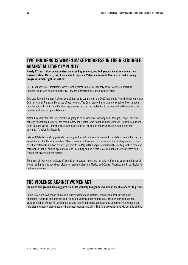## TWO INDIGENOUS WOMEN MAKE PROGRESS IN THEIR STRUGGLE AGAINST MILITARY IMPUNITY

Nearly 12 years after being beaten and raped by soldiers, two Indigenous Me'phaa women from Guerrero state, Mexico, Inés Fernández Ortega and Valentina Rosendo Cantù, are finally seeing progress in their fight for justice!

On 14 January 2014, indictments were issued against four former military officers accused of torture, including rape, and abuse of authority. They are currently in detention awaiting trial.

This step forward is a result of Mexico's obligation to comply with the 2010 judgments from the Inter-American Court of Human Rights in the cases of both women. The Court ordered a full, gender sensitive investigation into the matter by civilian authorities, reparations be paid and protection to be provided to the women, their families and human rights defenders.

"When I was told that the judgement was going to be passed I was working and I thought, I hope I have the courage to continue no matter the result. A few hours later I was told that it had gone well, that the court had ruled against Mexico. I felt that there was hope, that justice can be achieved and it is just a matter of pursuing it", Valentina Rosendo

Inés and Valentina's struggle is also bearing fruit for all victims of human rights violations committed by the armed forces. The Court also ordered Mexico to remove these kinds of cases from the military justice system, as it had established in two previous judgments. In May 2014 Congress reformed the military justice code and established that all crimes against civilians, including human rights violations, must be investigated and tried in the civilian justice system.

The arrest of four former military officers is an important milestone not only for Inés and Valentina, but for all women and girls who have been victims of sexual violence in Mexico and Central America, and in particular for Indigenous women.

## THE VIOLENCE AGAINST WOMEN ACT

Inclusive and ground breaking provision that will help Indigenous women in the USA access to justice

In the USA, Native American and Alaska Native women face complex jurisdictional issues that make protection, reporting and prosecution of domestic violence nearly impossible. The new provisions in the Violence Against Women Act will help to ensure that Tribal courts can issue and enforce protective orders to help stop domestic violence against Indigenous women and girls. This is a key point since without this ability,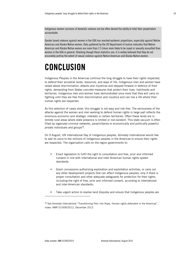Indigenous women survivors of domestic violence are too often denied the ability to hold their perpetrators accountable.

Gender based violence against women in the USA has reached epidemic proportions, especially against Native American and Alaska Native women. Data gathered by the US Department of Justice indicates that Native American and Alaska Native women are more than 2.5 times more likely to be raped or sexually assaulted than women in the USA in general. Shocking though these statistics are, it is widely believed that they do not accurately portray the extent of sexual violence against Native American and Alaska Native women.

## <span id="page-23-0"></span>**CONCLUSION**

Indigenous Peoples in the Americas continue the long struggle to have their rights respected, to defend their ancestral lands, resources, and ways of life. Indigenous men and women have raised above discrimination, attacks and injustices and stepped forward in defence of their rights, demanding from States concrete measures that protect their lives, livelihoods and territories. Indigenous men and women have demonstrated once more that they will carry on fighting until they are free from discrimination and injustice and can live a life where their human rights are respected.

As this selection of cases show, this struggle is not easy and risk free. The seriousness of the attacks against the women and men working to defend human rights in large part reflects the enormous economic and strategic interests in certain territories. Often these lands are in remote rural areas where state presence is limited or non-existent. This state vacuum is often filled by organized criminal networks, paramilitaries or economically and politically powerful private individuals and groups<sup>28</sup>.

On 9 August, UN International Day of Indigenous peoples, Amnesty International would like to add its voice to the millions of Indigenous peoples in the Americas to ensure their rights are respected. The organization calls on the region governments to:

- Enact legislation to fulfil the right to consultation and free, prior and informed consent in line with international and Inter-American human rights system standards;
- Grant concessions authorizing exploration and exploitation activities, or carry out any other development projects that can affect Indigenous peoples, only if there is proper consultation and other adequate safeguards for protection for their rights, including the right of free, prior and informed consent, according to international and inter-American standards;
- Take urgent action to resolve land disputes and ensure that Indigenous peoples are

<sup>&</sup>lt;sup>28</sup> See Amnesty International "Transforming Pain into Hope, Human rights defenders in the Americas", Index: AMR 01/006/2012, December 2012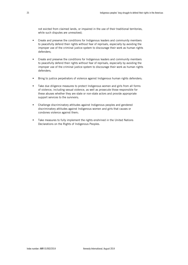not evicted from claimed lands, or impaired in the use of their traditional territories, while such disputes are unresolved;

- Create and preserve the conditions for Indigenous leaders and community members to peacefully defend their rights without fear of reprisals, especially by avoiding the improper use of the criminal justice system to discourage their work as human rights defenders;
- Create and preserve the conditions for Indigenous leaders and community members to peacefully defend their rights without fear of reprisals, especially by avoiding the improper use of the criminal justice system to discourage their work as human rights defenders;
- Bring to justice perpetrators of violence against Indigenous human rights defenders;
- Take due diligence measures to protect Indigenous women and girls from all forms of violence, including sexual violence, as well as prosecute those responsible for these abuses whether they are state or non-state actors and provide appropriate support services to the survivors;
- Challenge discriminatory attitudes against Indigenous peoples and gendered discriminatory attitudes against Indigenous women and girls that causes or condones violence against them;
- Take measures to fully implement the rights enshrined in the United Nations Declarations on the Rights of Indigenous Peoples.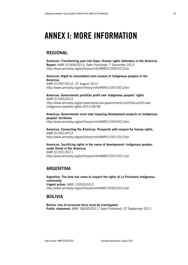## <span id="page-25-0"></span>ANNEX I: MORE INFORMATION

## REGIONAL

Americas: Transforming pain into hope: Human rights defenders in the Americas Report: AMR 01/006/2012; Date Published: 7 December 2012 http://www.amnesty.org/en/library/info/AMR01/006/2012/en

#### Americas: Right to consultation and consent of Indigenous peoples in the Americas.

AMR 01/007/2012, 27 August 2012 http://www.amnesty.org/en/library/info/AMR01/007/2012/en

#### Americas: Governments prioritize profit over Indigenous peoples' rights AMR 01/005/2012

http://www.amnesty.org/en/news/americas-governments-prioritize-profit-overindigenous-peoples-rights-2012-08-08

Americas: Governments must stop imposing development projects on Indigenous peoples' territories <http://www.amnesty.org/en/library/info/AMR01/005/2012/en>

Americas: Connecting the Americas: Prosperity with respect for human rights, AMR 01/001/2012 <http://www.amnesty.org/en/library/info/AMR01/001/2012/en>

#### Americas: Sacrificing rights in the name of development: Indigenous peoples under threat in the Americas AMR 01/001/2011 http://www.amnesty.org/en/library/info/AMR01/001/2011/en

### ARGENTINA

Argentina: The time has come to respect the rights of La Primavera Indigenous community Urgent action: AMR 13/002/2012 http://www.amnesty.org/en/library/info/AMR13/002/2012/en

### BOLIVIA

Bolivia: Use of excessive force must be investigated Public statement: AMR 18/002/2011; Date Published: 27 September 2011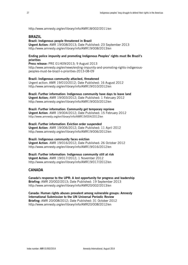http://www.amnesty.org/en/library/info/AMR18/002/2011/en

#### BRAZIL

#### Brazil: Indigenous people threatened in Brazil

Urgent Action: AMR 19/008/2013; Date Published: 23 September 2013 http://www.amnesty.org/en/library/info/AMR19/008/2013/en

#### Ending police impunity and promoting Indigenous Peoples' rights must Be Brazil's priorities

Press release: PRE 01/409/2013; 9 August 2013 [http://www.amnesty.org/en/news/ending-impunity-and-promoting-rights-indigenous](http://www.amnesty.org/en/news/ending-impunity-and-promoting-rights-indigenous-)peoples-must-be-brazil-s-priorities-2013-08-09

#### Brazil: Indigenous community attacked, threatened

Urgent action: AMR 19/010/2012; Date Published: 16 August 2012 http://www.amnesty.org/en/library/info/AMR19/010/2012/en

#### Brazil: Further information: Indigenous community have days to leave land

Urgent Action; AMR 19/003/2012; Date Published: 1 February 2012 http://www.amnesty.org/en/library/info/AMR19/003/2012/en

#### Brazil: Further information: Community get temporary reprieve

Urgent Action: AMR 19/004/2012; Date Published: 15 February 2012 <http://www.amnesty.org/en/library/info/AMR19/004/2012/en>

#### Brazil: Further information: Eviction order suspended

Urgent Action: AMR 19/006/2012; Date Published: 11 April 2012 http://www.amnesty.org/en/library/info/AMR19/006/2012/en

#### Brazil: Indigenous community faces eviction

Urgent Action: AMR 19/016/2012; Date Published: 26 October 2012 http://www.amnesty.org/en/library/info/AMR19/016/2012/en

Brazil: Further information: Indigenous community still at risk Urgent Action: AMR 19/017/2012; 1 November 2012 http://www.amnesty.org/en/library/info/AMR19/017/2012/en

#### CANADA

Canada's response to the UPR: A lost opportunity for progress and leadership Briefing: AMR 20/002/2013; Date Published: 19 September 2013 http://www.amnesty.org/en/library/info/AMR20/002/2013/en

Canada: Human rights abuses prevalent among vulnerable groups: Amnesty International Submission to the UN Universal Periodic Review Briefing: AMR 20/008/2012; Date Published: 31 October 2012 http://www.amnesty.org/en/library/info/AMR20/008/2012/en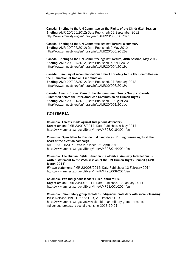Canada: Briefing to the UN Committee on the Rights of the Child: 61st Session Briefing: AMR 20/006/2012; Date Published: 12 September 2012 http://www.amnesty.org/en/library/info/AMR20/006/2012/en

Canada: Briefing to the UN Committee against Torture: a summary Briefing: AMR 20/005/2012; Date Published: 1 May 2012 http://www.amnesty.org/en/library/info/AMR20/005/2012/en

Canada: Briefing to the UN Committee against Torture, 48th Session, May 2012 Briefing: AMR 20/004/2012; Date Published: 4 April 2012 http://www.amnesty.org/en/library/info/AMR20/004/2012/en

Canada: Summary of recommendations from AI briefing to the UN Committee on the Elimination of Racial Discrimination Briefing: AMR 20/003/2012; Date Published: 21 February 2012

http://www.amnesty.org/en/library/info/AMR20/003/2012/en

Canada: Amicus Curiae: Case of the Hul'qumi'num Treaty Group v. Canada: Submitted before the Inter-American Commission on Human Rights Briefing: AMR 20/001/2011; Date Published: 1 August 2011 http://www.amnesty.org/en/library/info/AMR20/001/2011/en

#### COLOMBIA

Colombia: Threats made against Indigenous defenders Urgent action: AMR 23/018/2014; Date Published: 9 May 2014 http://www.amnesty.org/en/library/info/AMR23/018/2014/en

#### Colombia: Open letter to Presidential candidates. Putting human rights at the heart of the election campaign

AMR 23/014/2014; Date Published: 30 April 2014 http://www.amnesty.org/en/library/info/AMR23/014/2014/en

#### Colombia: The Human Rights Situation in Colombia: Amnesty International's written statement to the 25th session of the UN Human Rights Council (3-28 March 2014)

Written statement: AMR 23/008/2014; Date Published: 13 February 2014 http://www.amnesty.org/en/library/info/AMR23/008/2014/en

#### Colombia: Two Indigenous leaders killed, third at risk

Urgent action: AMR 23/001/2014; Date Published: 17 January 2014 http://www.amnesty.org/en/library/info/AMR23/001/2014/en

Colombia: Paramilitary group threatens indigenous protesters with social cleansing Press Release: PRE 01/555/2013; 21 October 2013 http://www.amnesty.org/en/news/colombia-paramilitary-group-threatensindigenous-protesters-social-cleansing-2013-10-21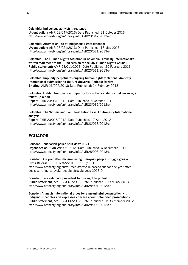#### Colombia: Indigenous activists threatened

Urgent action: AMR 23/047/2013; Date Published: 21 October 2013 http://www.amnesty.org/en/library/info/AMR23/047/2013/en

#### Colombia: Attempt on life of indigenous rights defender

Urgent action: AMR 23/021/2013; Date Published: 16 May 2013 http://www.amnesty.org/en/library/info/AMR23/021/2013/en

Colombia: The Human Rights Situation in Colombia: Amnesty International's written statement to the 22nd session of the UN Human Rights Council Public statement: AMR 23/011/2013; Date Published: 25 February 2013 http://www.amnesty.org/en/library/info/AMR23/011/2013/en

Colombia: Impunity perpetuates ongoing human rights violations: Amnesty International submission to the UN Universal Periodic Review Briefing: AMR 23/005/2013; Date Published: 14 February 2013

#### Colombia: Hidden from justice: Impunity for conflict-related sexual violence, a follow-up report

Report: AMR 23/031/2012; Date Published: 4 October 2012 http://www.amnesty.org/en/library/info/AMR23/031/2012/en

Colombia: The Victims and Land Restitution Law: An Amnesty International analysis Report: AMR 23/018/2012; Date Published: 17 April 2012 http://www.amnesty.org/en/library/info/AMR23/018/2012/en

## ECUADOR

#### Ecuador: Ecuadorian police shut down NGO

Urgent Action; AMR 28/003/2013; Date Published: 6 December 2013 http://www.amnesty.org/en/library/info/AMR28/003/2013/en

Ecuador: One year after decisive ruling, Sarayaku people struggle goes on Press Release; PRE 01/365/2013; 25 July 2013 http://www.amnesty.org/en/for-media/press-releases/ecuador-one-year-afterdecisive-ruling-sarayaku-people-struggle-goes-2013-0

Ecuador: Case sets poor precedent for the right to protest Public statement; AMR 28/001/2013; Date Published: 6 February 2013 http://www.amnesty.org/en/library/info/AMR28/001/2013/en

Ecuador: Amnesty International urges for a meaningful consultation with Indigenous peoples and expresses concern about unfounded prosecutions Public statement; AMR 28/006/2012; Date Published: 19 September 2012 http://www.amnesty.org/en/library/info/AMR28/006/2012/en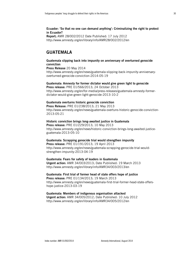#### Ecuador: 'So that no one can demand anything': Criminalizing the right to protest in Ecuador?

Report; AMR 28/002/2012 Date Published: 17 July 2012 http://www.amnesty.org/en/library/info/AMR28/002/2012/en

## GUATEMALA

#### Guatemala slipping back into impunity on anniversary of overturned genocide conviction

Press Release 20 May 2014 http://www.amnesty.org/en/news/guatemala-slipping-back-impunity-anniversaryoverturned-genocide-conviction-2014-05-19

#### Guatemala: Amnesty for former dictator would give green light to genocide

Press release: PRE 01/566/2013; 24 October 2013 http://www.amnesty.org/en/for-media/press-releases/guatemala-amnesty-formerdictator-would-give-green-light-genocide-2013-10-2

#### Guatemala overturns historic genocide conviction

Press Release: PRE 01/238/2013; 21 May 2013 http://www.amnesty.org/en/news/guatemala-overtuns-historic-genocide-conviction-2013-05-21

#### Historic conviction brings long-awaited justice in Guatemala

Press release: PRE 01/229/2013; 10 May 2013 http://www.amnesty.org/en/news/historic-conviction-brings-long-awaited-justiceguatemala-2013-05-10

#### Guatemala: Scrapping genocide trial would strengthen impunity

Press release: PRE 01/191/2013; 19 April 2013 http://www.amnesty.org/en/news/guatemala-scrapping-genocide-trial-wouldstrengthen-impunity-2013-04-19

#### Guatemala: Fears for safety of leaders in Guatemala

Urgent action: AMR 34/003/2013; Date Published: 19 March 2013 http://www.amnesty.org/en/library/info/AMR34/003/2013/en

#### Guatemala: First trial of former head of state offers hope of justice Press release: PRE 01/134/2013; 19 March 2013

http://www.amnesty.org/en/news/guatemala-first-trial-former-head-state-offershope-justice-2013-03-19

#### Guatemala: Members of indigenous organisation attacked

Urgent action: AMR 34/005/2012; Date Published: 10 July 2012 http://www.amnesty.org/en/library/info/AMR34/005/2012/en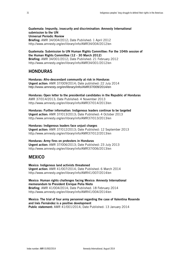Guatemala: Impunity, insecurity and discrimination: Amnesty International submission to the UN Universal Periodic Review Briefing: AMR 34/004/2012; Date Published: 1 April 2012 http://www.amnesty.org/en/library/info/AMR34/004/2012/en

Guatemala: Submission to UN Human Rights Committee: For the 104th session of the Human Rights Committee (12 - 30 March 2012) Briefing: AMR 34/001/2012; Date Published: 21 February 2012 http://www.amnesty.org/en/library/info/AMR34/001/2012/en

## HONDURAS

Honduras: Afro-descendant community at risk in Honduras Urgent action: AMR 37/009/2014; Date published: 22 July 2014 http://www.amnesty.org/en/library/info/AMR37/009/2014/en

Honduras: Open letter to the presidential candidates in the Republic of Honduras AMR 37/014/2013; Date Published: 4 November 2013 http://www.amnesty.org/en/library/info/AMR37/014/2013/en

Honduras: Further information: Indigenous leaders continue to be targeted Urgent action: AMR 37/013/2013; Date Published: 4 October 2013 http://www.amnesty.org/en/library/info/AMR37/013/2013/en

Honduras: Indigenous leaders face unjust charges Urgent action: AMR 37/012/2013; Date Published: 12 September 2013 http://www.amnesty.org/en/library/info/AMR37/012/2013/en

#### Honduras: Army fires on protesters in Honduras

Urgent action: AMR 37/006/2013; Date Published: 23 July 2013 http://www.amnesty.org/en/library/info/AMR37/006/2013/en

## **MEXICO**

Mexico: Indigenous land activists threatened Urgent action: AMR 41/007/2014; Date Published: 6 March 2014 http://www.amnesty.org/en/library/info/AMR41/007/2014/en

#### Mexico: Human rights challenges facing Mexico: Amnesty International memorandum to President Enrique Peña Nieto

Briefing: AMR 41/004/2014; Date Published: 18 February 2014 http://www.amnesty.org/en/library/info/AMR41/004/2014/en

Mexico: The trial of four army personnel regarding the case of Valentina Rosendo and Inés Fernández is a positive development Public statement: AMR 41/001/2014; Date Published: 13 January 2014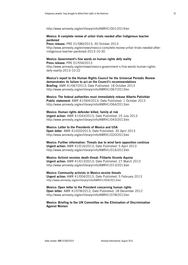http://www.amnesty.org/en/library/info/AMR41/001/2014/en

#### Mexico: A complete review of unfair trials needed after Indigenous teacher pardoned

Press release: PRE 01/580/2013; 30 October 2013 http://www.amnesty.org/en/news/mexico-complete-review-unfair-trials-needed-afterindigenous-teacher-pardoned-2013-10-30

Mexico: Government's fine words on human rights defy reality Press release: PRE 01/554/2013 http://www.amnesty.org/en/news/mexico-government-s-fine-words-human-rights-

defy-reality-2013-10-22

Mexico's report to the Human Rights Council for the Universal Periodic Review demonstrates its failure to act on the Council's recommendations Briefing: AMR 41/067/2013; Date Published: 18 October 2013 http://www.amnesty.org/en/library/info/AMR41/067/2013/en

Mexico: The federal authorities must immediately release Alberto Patishtán Public statement: AMR 41/064/2013; Date Published: 1 October 2013 http://www.amnesty.org/en/library/info/AMR41/064/2013/en

Mexico: Human rights defender killed, family at risk Urgent action: AMR 41/043/2013; Date Published: 25 July 2013 http://www.amnesty.org/en/library/info/AMR41/043/2013/en

Mexico: Letter to the Presidents of Mexico and USA Open letter: AMR 41/020/2013; Date Published: 30 April 2013 http://www.amnesty.org/en/library/info/AMR41/020/2013/en

Mexico: Further information: Threats due to wind farm opposition continue Urgent action: AMR 41/016/2013; Date Published: 5 April 2013 http://www.amnesty.org/en/library/info/AMR41/016/2013/en

Mexico: Activist receives death threat: Filiberto Vicente Aquino Urgent action: AMR 41/013/2013; Date Published: 27 March 2013 <http://www.amnesty.org/en/library/info/AMR41/013/2013/en>

Mexico: Community activists in Mexico receive threats Urgent action: AMR 41/004/2013; Date Published: 5 February 2013 http://www.amnesty.org/en/library/info/AMR41/004/2013/en

Mexico: Open letter to the President concerning human rights Open letter: AMR 41/078/2012; Date Published: 18 December 2012 <http://www.amnesty.org/en/library/info/AMR41/078/2012/en>

Mexico: Briefing to the UN Committee on the Elimination of Discrimination Against Women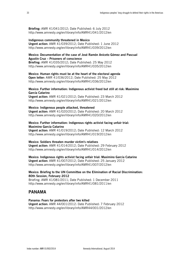Briefing: AMR 41/041/2012; Date Published: 6 July 2012 http://www.amnesty.org/en/library/info/AMR41/041/2012/en

#### Indigenous community threatened in Mexico

Urgent action: AMR 41/039/2012; Date Published: 1 June 2012 http://www.amnesty.org/en/library/info/AMR41/039/2012/en

#### Mexico: Documentation of the case of José Ramón Aniceto Gómez and Pascual Agustín Cruz – Prisoners of conscience

Briefing: AMR 41/035/2012; Date Published: 25 May 2012 <http://www.amnesty.org/en/library/info/AMR41/035/2012/en>

#### Mexico: Human rights must be at the heart of the electoral agenda

Open letter: AMR 41/036/2012; Date Published: 25 May 2012 <http://www.amnesty.org/en/library/info/AMR41/036/2012/en>

#### Mexico: Further information: Indigenous activist freed but still at risk: Maximino García Catarino

Urgent action: AMR 41/021/2012; Date Published: 23 March 2012 http://www.amnesty.org/en/library/info/AMR41/021/2012/en

#### Mexico: Indigenous people attacked, threatened

Urgent action: AMR 41/020/2012; Date Published: 20 March 2012 <http://www.amnesty.org/en/library/info/AMR41/020/2012/en>

#### Mexico: Further information: Indigenous rights activist facing unfair trial: Maximino García Catarino

Urgent action: AMR 41/019/2012; Date Published: 12 March 2012 http://www.amnesty.org/en/library/info/AMR41/019/2012/en

#### Mexico: Soldiers threaten murder victim's relatives

Urgent action: AMR 41/014/2012; Date Published: 29 February 2012 http://www.amnesty.org/en/library/info/AMR41/014/2012/en

#### Mexico: Indigenous rights activist facing unfair trial: Maximino García Catarino Urgent action: AMR 41/007/2012; Date Published: 25 January 2012 http://www.amnesty.org/en/library/info/AMR41/007/2012/en

#### Mexico: Briefing to the UN Committee on the Elimination of Racial Discrimination: 80th Session, February 2012

Briefing: AMR 41/081/2011; Date Published: 1 December 2011 http://www.amnesty.org/en/library/info/AMR41/081/2011/en

#### PANAMA

#### Panama: Fears for protestors after two killed

Urgent action: AMR 44/001/2012: Date Published: 7 February 2012 http://www.amnesty.org/en/library/info/AMR44/001/2012/en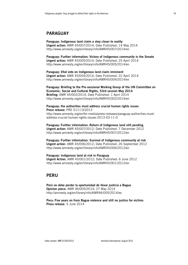### PARAGUAY

Paraguay: Indigenous land claim a step closer to reality Urgent action: AMR 45/007/2014; Date Published: 14 May 2014 http://www.amnesty.org/en/library/info/AMR45/007/2014/en

Paraguay: Further information: Victory of Indigenous community in the Senate Urgent action: AMR 45/005/2014; Date Published: 25 April 2014 http://www.amnesty.org/en/library/info/AMR45/005/2014/en

Paraguay: Vital vote on Indigenous land claim imminent Urgent action: AMR 45/004/2014; Date Published: 22 April 2014 http://www.amnesty.org/en/library/info/AMR45/004/2014/en

Paraguay: Briefing to the Pre-sessional Working Group of the UN Committee on Economic, Social and Cultural Rights, 53rd session May 2014 Briefing: AMR 45/002/2014; Date Published: 1 April 2014 http://www.amnesty.org/en/library/info/AMR45/002/2014/en

Paraguay: the authorities must address crucial human rights issues Press release: PRE 01/113/2013 http://www.amnesty.org/en/for-media/press-releases/paraguay-authorities-mustaddress-crucial-human-rights-issues-2013-03-11-0

Paraguay: Further information: Return of Indigenous land still pending Urgent action: AMR 45/007/2012; Date Published: 7 December 2012 http://www.amnesty.org/en/library/info/AMR45/007/2012/en

Paraguay: Further information: Survival of Indigenous community at risk Urgent action: AMR 45/006/2012; Date Published: 26 September 2012 <http://www.amnesty.org/en/library/info/AMR45/006/2012/en>

Paraguay: Indigenous land at risk in Paraguay Urgent Action; AMR 45/001/2012; Date Published: 6 June 2012 http://www.amnesty.org/en/library/info/AMR45/001/2012/en

#### PERU

Perú no debe perder la oportunidad de llevar justicia a Bagua Opinion piece: AMR 46/005/2014; 27 May 2014 <http://amnesty.org/en/library/info/AMR46/005/2014/es>

Peru: Five years on from Bagua violence and still no justice for victims Press release: 5 June 2014